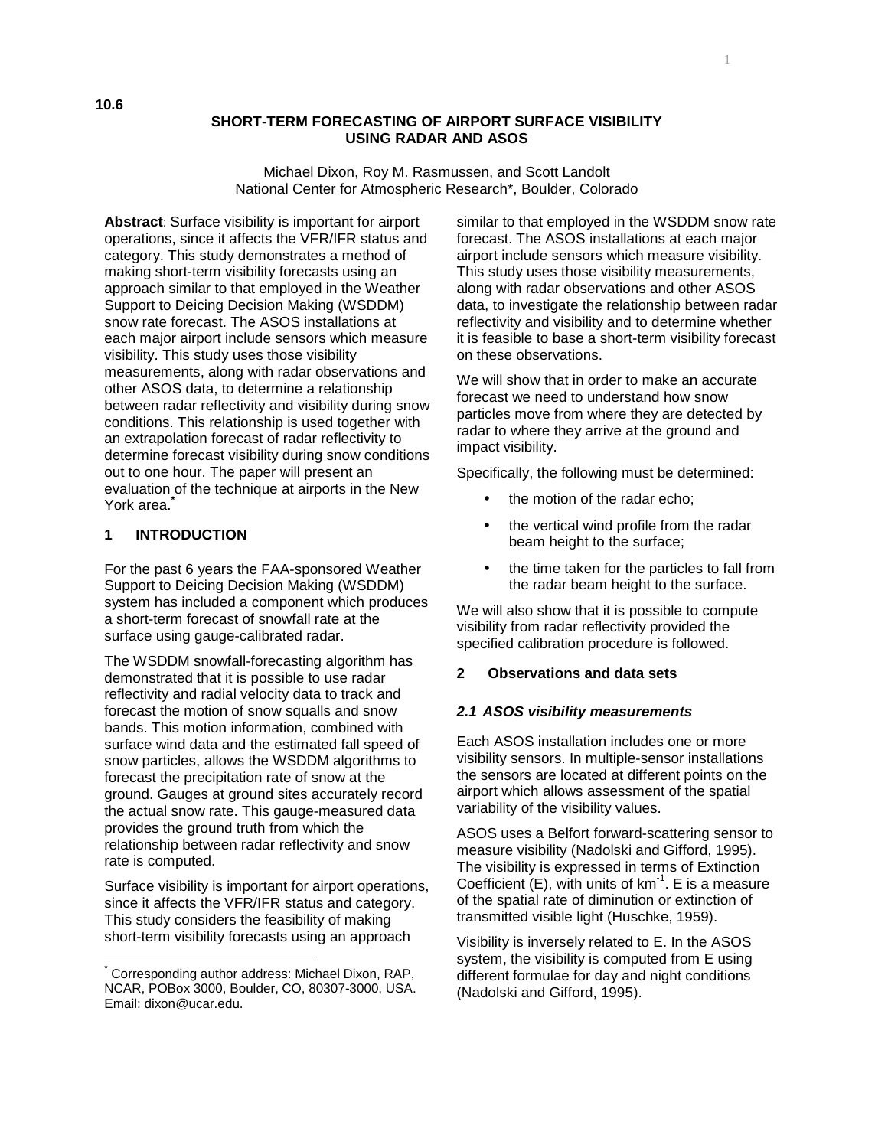## **SHORT-TERM FORECASTING OF AIRPORT SURFACE VISIBILITY USING RADAR AND ASOS**

Michael Dixon, Roy M. Rasmussen, and Scott Landolt National Center for Atmospheric Research\*, Boulder, Colorado

**Abstract**: Surface visibility is important for airport operations, since it affects the VFR/IFR status and category. This study demonstrates a method of making short-term visibility forecasts using an approach similar to that employed in the Weather Support to Deicing Decision Making (WSDDM) snow rate forecast. The ASOS installations at each major airport include sensors which measure visibility. This study uses those visibility measurements, along with radar observations and other ASOS data, to determine a relationship between radar reflectivity and visibility during snow conditions. This relationship is used together with an extrapolation forecast of radar reflectivity to determine forecast visibility during snow conditions out to one hour. The paper will present an evaluation of the technique at airports in the New York area.<sup>\*</sup>

# **1 INTRODUCTION**

 $\overline{a}$ 

For the past 6 years the FAA-sponsored Weather Support to Deicing Decision Making (WSDDM) system has included a component which produces a short-term forecast of snowfall rate at the surface using gauge-calibrated radar.

The WSDDM snowfall-forecasting algorithm has demonstrated that it is possible to use radar reflectivity and radial velocity data to track and forecast the motion of snow squalls and snow bands. This motion information, combined with surface wind data and the estimated fall speed of snow particles, allows the WSDDM algorithms to forecast the precipitation rate of snow at the ground. Gauges at ground sites accurately record the actual snow rate. This gauge-measured data provides the ground truth from which the relationship between radar reflectivity and snow rate is computed.

Surface visibility is important for airport operations, since it affects the VFR/IFR status and category. This study considers the feasibility of making short-term visibility forecasts using an approach

similar to that employed in the WSDDM snow rate forecast. The ASOS installations at each major airport include sensors which measure visibility. This study uses those visibility measurements, along with radar observations and other ASOS data, to investigate the relationship between radar reflectivity and visibility and to determine whether it is feasible to base a short-term visibility forecast on these observations.

We will show that in order to make an accurate forecast we need to understand how snow particles move from where they are detected by radar to where they arrive at the ground and impact visibility.

Specifically, the following must be determined:

- the motion of the radar echo;
- the vertical wind profile from the radar beam height to the surface;
- the time taken for the particles to fall from the radar beam height to the surface.

We will also show that it is possible to compute visibility from radar reflectivity provided the specified calibration procedure is followed.

### **2 Observations and data sets**

### **2.1 ASOS visibility measurements**

Each ASOS installation includes one or more visibility sensors. In multiple-sensor installations the sensors are located at different points on the airport which allows assessment of the spatial variability of the visibility values.

ASOS uses a Belfort forward-scattering sensor to measure visibility (Nadolski and Gifford, 1995). The visibility is expressed in terms of Extinction Coefficient  $(E)$ , with units of  $km^{-1}$ . E is a measure of the spatial rate of diminution or extinction of transmitted visible light (Huschke, 1959).

Visibility is inversely related to E. In the ASOS system, the visibility is computed from E using different formulae for day and night conditions (Nadolski and Gifford, 1995).

<sup>\*</sup> Corresponding author address: Michael Dixon, RAP, NCAR, POBox 3000, Boulder, CO, 80307-3000, USA. Email: dixon@ucar.edu.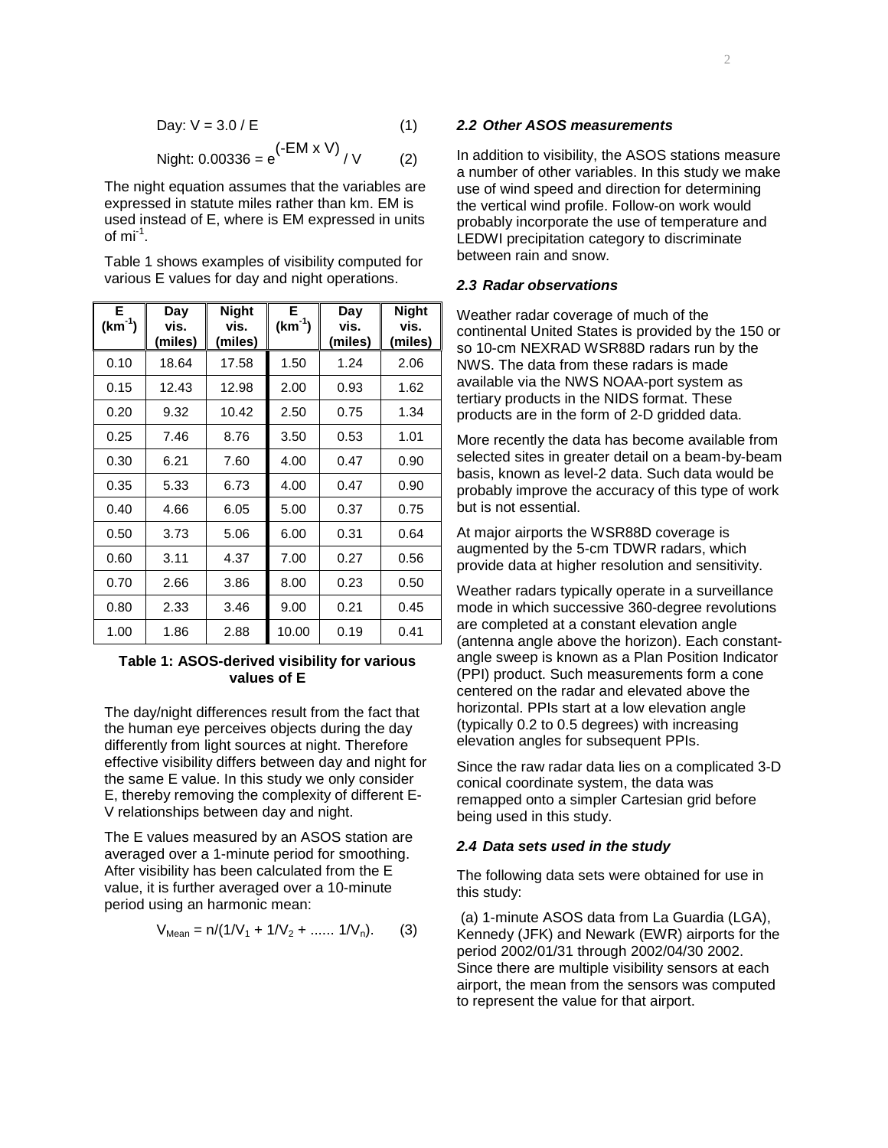Day: 
$$
V = 3.0 / E
$$
 (1)

$$
Night: 0.00336 = e^{(-EM \times V)} / V
$$
 (2)

The night equation assumes that the variables are expressed in statute miles rather than km. EM is used instead of E, where is EM expressed in units of  $mi^1$ .

Table 1 shows examples of visibility computed for various E values for day and night operations.

| Е<br>$(km^{-1})$ | Day<br>vis.<br>(miles) | <b>Night</b><br>vis.<br>(miles) | Е<br>$(km^{-1})$ | Day<br>vis.<br>(miles) | <b>Night</b><br>vis.<br>(miles) |
|------------------|------------------------|---------------------------------|------------------|------------------------|---------------------------------|
| 0.10             | 18.64                  | 17.58                           | 1.50             | 1.24                   | 2.06                            |
| 0.15             | 12.43                  | 12.98                           | 2.00             | 0.93                   | 1.62                            |
| 0.20             | 9.32                   | 10.42                           | 2.50             | 0.75                   | 1.34                            |
| 0.25             | 7.46                   | 8.76                            | 3.50             | 0.53                   | 1.01                            |
| 0.30             | 6.21                   | 7.60                            | 4.00             | 0.47                   | 0.90                            |
| 0.35             | 5.33                   | 6.73                            | 4.00             | 0.47                   | 0.90                            |
| 0.40             | 4.66                   | 6.05                            | 5.00             | 0.37                   | 0.75                            |
| 0.50             | 3.73                   | 5.06                            | 6.00             | 0.31                   | 0.64                            |
| 0.60             | 3.11                   | 4.37                            | 7.00             | 0.27                   | 0.56                            |
| 0.70             | 2.66                   | 3.86                            | 8.00             | 0.23                   | 0.50                            |
| 0.80             | 2.33                   | 3.46                            | 9.00             | 0.21                   | 0.45                            |
| 1.00             | 1.86                   | 2.88                            | 10.00            | 0.19                   | 0.41                            |

# **Table 1: ASOS-derived visibility for various values of E**

The day/night differences result from the fact that the human eye perceives objects during the day differently from light sources at night. Therefore effective visibility differs between day and night for the same E value. In this study we only consider E, thereby removing the complexity of different E-V relationships between day and night.

The E values measured by an ASOS station are averaged over a 1-minute period for smoothing. After visibility has been calculated from the E value, it is further averaged over a 10-minute period using an harmonic mean:

$$
V_{Mean} = n/(1/V_1 + 1/V_2 + \dots \dots 1/V_n). \tag{3}
$$

#### **2.2 Other ASOS measurements**

In addition to visibility, the ASOS stations measure a number of other variables. In this study we make use of wind speed and direction for determining the vertical wind profile. Follow-on work would probably incorporate the use of temperature and LEDWI precipitation category to discriminate between rain and snow.

## **2.3 Radar observations**

Weather radar coverage of much of the continental United States is provided by the 150 or so 10-cm NEXRAD WSR88D radars run by the NWS. The data from these radars is made available via the NWS NOAA-port system as tertiary products in the NIDS format. These products are in the form of 2-D gridded data.

More recently the data has become available from selected sites in greater detail on a beam-by-beam basis, known as level-2 data. Such data would be probably improve the accuracy of this type of work but is not essential.

At major airports the WSR88D coverage is augmented by the 5-cm TDWR radars, which provide data at higher resolution and sensitivity.

Weather radars typically operate in a surveillance mode in which successive 360-degree revolutions are completed at a constant elevation angle (antenna angle above the horizon). Each constantangle sweep is known as a Plan Position Indicator (PPI) product. Such measurements form a cone centered on the radar and elevated above the horizontal. PPIs start at a low elevation angle (typically 0.2 to 0.5 degrees) with increasing elevation angles for subsequent PPIs.

Since the raw radar data lies on a complicated 3-D conical coordinate system, the data was remapped onto a simpler Cartesian grid before being used in this study.

# **2.4 Data sets used in the study**

The following data sets were obtained for use in this study:

 (a) 1-minute ASOS data from La Guardia (LGA), Kennedy (JFK) and Newark (EWR) airports for the period 2002/01/31 through 2002/04/30 2002. Since there are multiple visibility sensors at each airport, the mean from the sensors was computed to represent the value for that airport.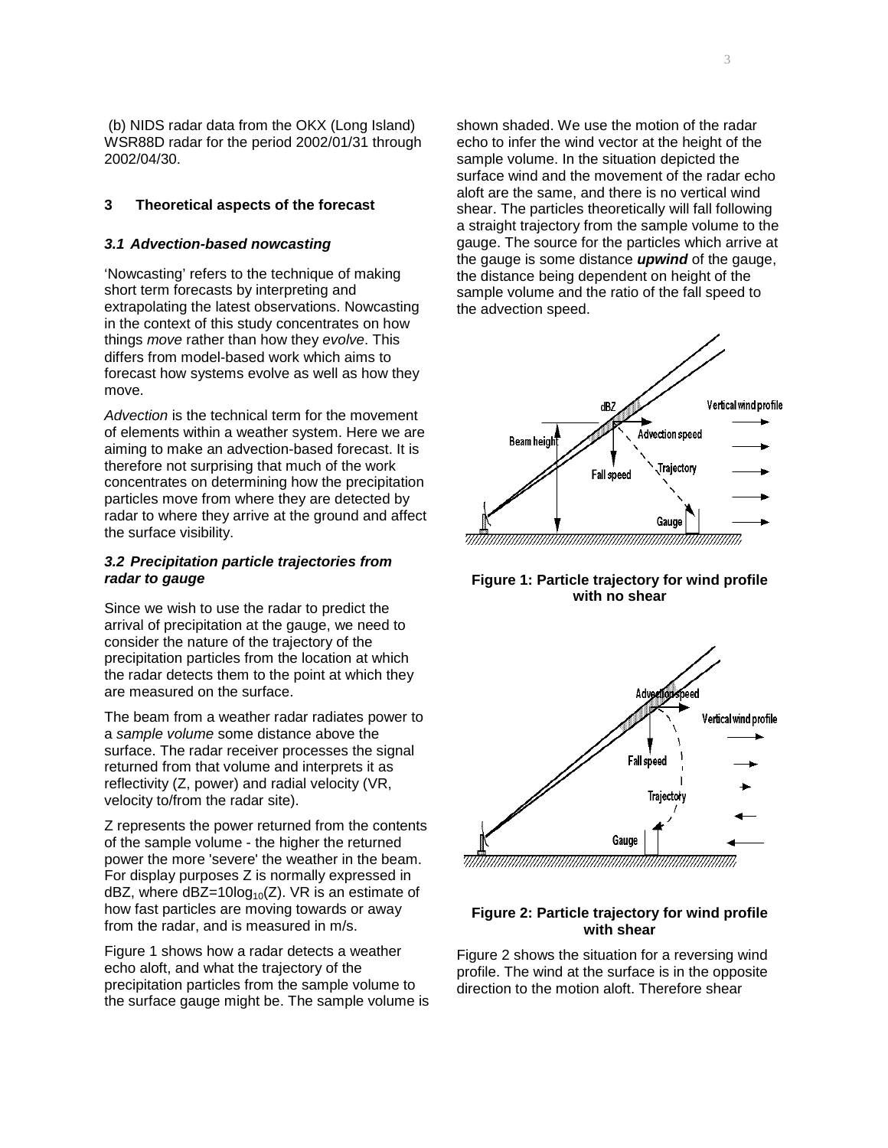(b) NIDS radar data from the OKX (Long Island) WSR88D radar for the period 2002/01/31 through 2002/04/30.

# **3 Theoretical aspects of the forecast**

#### **3.1 Advection-based nowcasting**

'Nowcasting' refers to the technique of making short term forecasts by interpreting and extrapolating the latest observations. Nowcasting in the context of this study concentrates on how things move rather than how they evolve. This differs from model-based work which aims to forecast how systems evolve as well as how they move.

Advection is the technical term for the movement of elements within a weather system. Here we are aiming to make an advection-based forecast. It is therefore not surprising that much of the work concentrates on determining how the precipitation particles move from where they are detected by radar to where they arrive at the ground and affect the surface visibility.

### **3.2 Precipitation particle trajectories from radar to gauge**

Since we wish to use the radar to predict the arrival of precipitation at the gauge, we need to consider the nature of the trajectory of the precipitation particles from the location at which the radar detects them to the point at which they are measured on the surface.

The beam from a weather radar radiates power to a sample volume some distance above the surface. The radar receiver processes the signal returned from that volume and interprets it as reflectivity (Z, power) and radial velocity (VR, velocity to/from the radar site).

Z represents the power returned from the contents of the sample volume - the higher the returned power the more 'severe' the weather in the beam. For display purposes Z is normally expressed in dBZ, where dBZ=10log<sub>10</sub>(Z). VR is an estimate of how fast particles are moving towards or away from the radar, and is measured in m/s.

Figure 1 shows how a radar detects a weather echo aloft, and what the trajectory of the precipitation particles from the sample volume to the surface gauge might be. The sample volume is shown shaded. We use the motion of the radar echo to infer the wind vector at the height of the sample volume. In the situation depicted the surface wind and the movement of the radar echo aloft are the same, and there is no vertical wind shear. The particles theoretically will fall following a straight trajectory from the sample volume to the gauge. The source for the particles which arrive at the gauge is some distance **upwind** of the gauge, the distance being dependent on height of the sample volume and the ratio of the fall speed to the advection speed.



**Figure 1: Particle trajectory for wind profile with no shear** 



#### 

# **Figure 2: Particle trajectory for wind profile with shear**

Figure 2 shows the situation for a reversing wind profile. The wind at the surface is in the opposite direction to the motion aloft. Therefore shear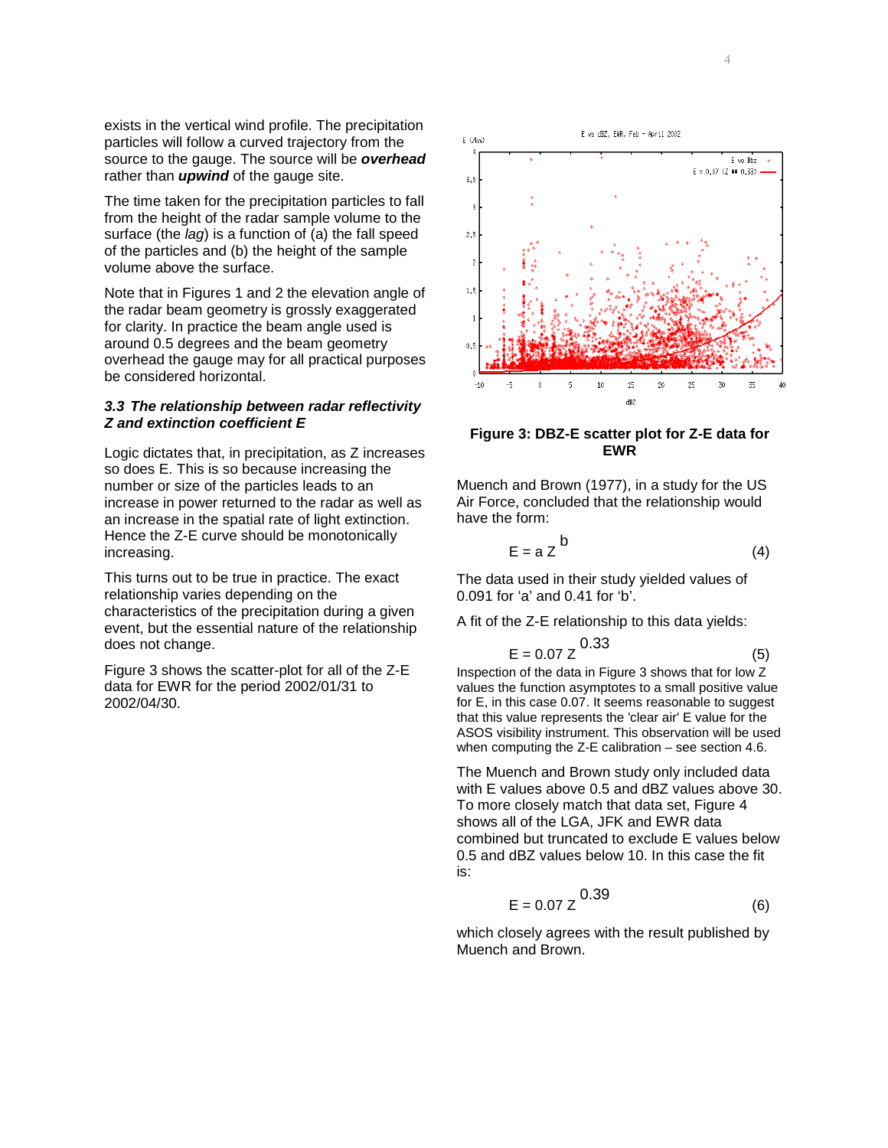exists in the vertical wind profile. The precipitation particles will follow a curved trajectory from the source to the gauge. The source will be **overhead** rather than **upwind** of the gauge site.

The time taken for the precipitation particles to fall from the height of the radar sample volume to the surface (the *lag*) is a function of (a) the fall speed of the particles and (b) the height of the sample volume above the surface.

Note that in Figures 1 and 2 the elevation angle of the radar beam geometry is grossly exaggerated for clarity. In practice the beam angle used is around 0.5 degrees and the beam geometry overhead the gauge may for all practical purposes be considered horizontal.

# **3.3 The relationship between radar reflectivity Z and extinction coefficient E**

Logic dictates that, in precipitation, as Z increases so does E. This is so because increasing the number or size of the particles leads to an increase in power returned to the radar as well as an increase in the spatial rate of light extinction. Hence the Z-E curve should be monotonically increasing.

This turns out to be true in practice. The exact relationship varies depending on the characteristics of the precipitation during a given event, but the essential nature of the relationship does not change.

Figure 3 shows the scatter-plot for all of the Z-E data for EWR for the period 2002/01/31 to 2002/04/30.



**Figure 3: DBZ-E scatter plot for Z-E data for EWR** 

Muench and Brown (1977), in a study for the US Air Force, concluded that the relationship would have the form:

$$
E = a Z^{b}
$$
 (4)

The data used in their study yielded values of 0.091 for 'a' and 0.41 for 'b'.

A fit of the Z-E relationship to this data yields:

$$
E = 0.07 Z^{0.33}
$$
 (5)

Inspection of the data in Figure 3 shows that for low Z values the function asymptotes to a small positive value for E, in this case 0.07. It seems reasonable to suggest that this value represents the 'clear air' E value for the ASOS visibility instrument. This observation will be used when computing the Z-E calibration – see section 4.6.

The Muench and Brown study only included data with E values above 0.5 and dBZ values above 30. To more closely match that data set, Figure 4 shows all of the LGA, JFK and EWR data combined but truncated to exclude E values below 0.5 and dBZ values below 10. In this case the fit is:

$$
E = 0.07 Z \qquad (6)
$$

which closely agrees with the result published by Muench and Brown.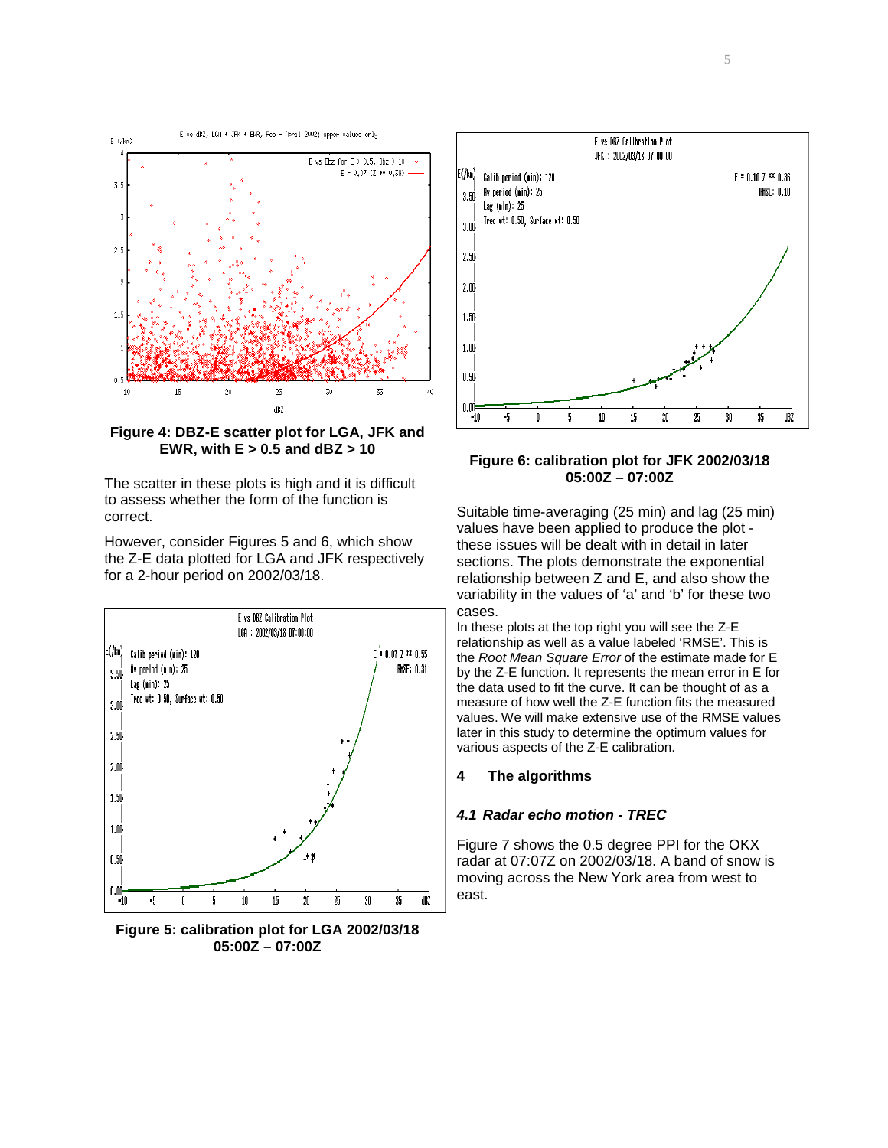

**Figure 4: DBZ-E scatter plot for LGA, JFK and EWR, with E > 0.5 and dBZ > 10** 

The scatter in these plots is high and it is difficult to assess whether the form of the function is correct.

However, consider Figures 5 and 6, which show the Z-E data plotted for LGA and JFK respectively for a 2-hour period on 2002/03/18.



**Figure 5: calibration plot for LGA 2002/03/18 05:00Z – 07:00Z** 



**Figure 6: calibration plot for JFK 2002/03/18 05:00Z – 07:00Z** 

Suitable time-averaging (25 min) and lag (25 min) values have been applied to produce the plot these issues will be dealt with in detail in later sections. The plots demonstrate the exponential relationship between Z and E, and also show the variability in the values of 'a' and 'b' for these two cases.

In these plots at the top right you will see the Z-E relationship as well as a value labeled 'RMSE'. This is the Root Mean Square Error of the estimate made for E by the Z-E function. It represents the mean error in E for the data used to fit the curve. It can be thought of as a measure of how well the Z-E function fits the measured values. We will make extensive use of the RMSE values later in this study to determine the optimum values for various aspects of the Z-E calibration.

### **4 The algorithms**

### **4.1 Radar echo motion - TREC**

Figure 7 shows the 0.5 degree PPI for the OKX radar at 07:07Z on 2002/03/18. A band of snow is moving across the New York area from west to east.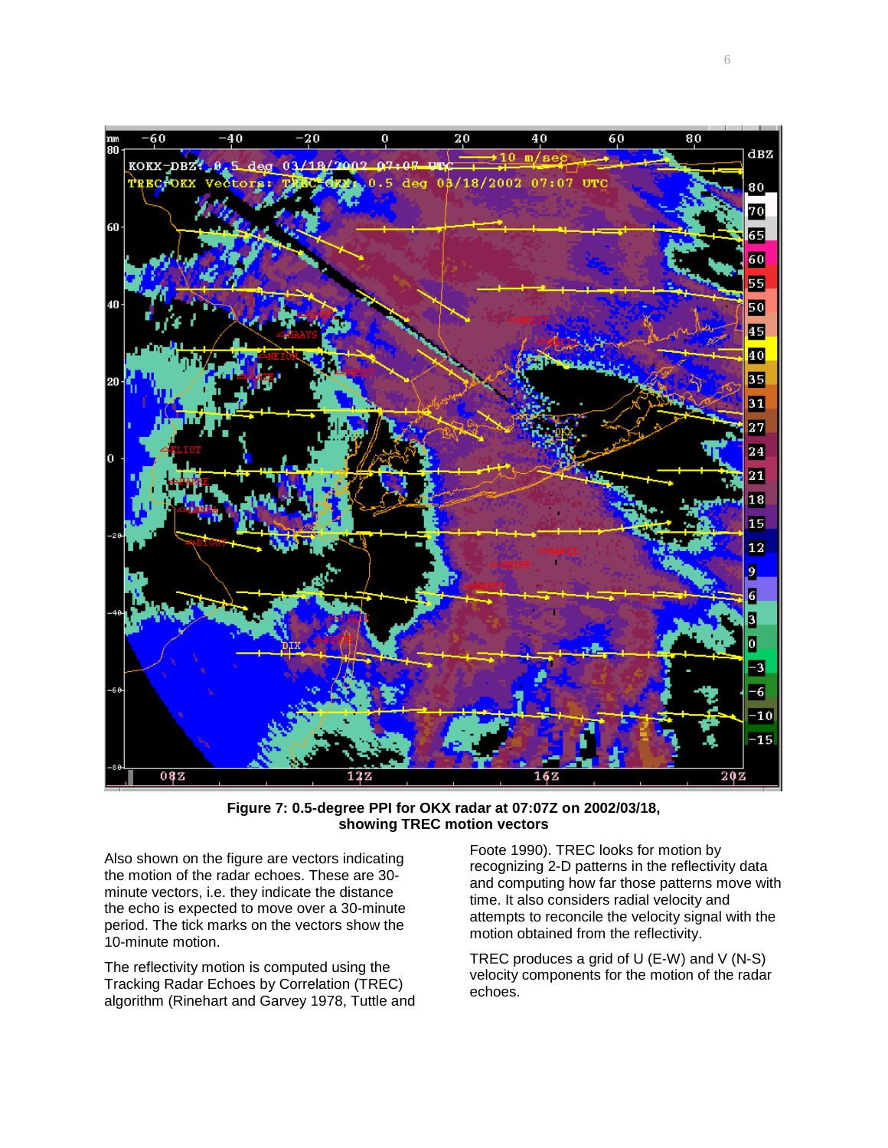

**Figure 7: 0.5-degree PPI for OKX radar at 07:07Z on 2002/03/18, showing TREC motion vectors** 

Also shown on the figure are vectors indicating the motion of the radar echoes. These are 30 minute vectors, i.e. they indicate the distance the echo is expected to move over a 30-minute period. The tick marks on the vectors show the 10-minute motion.

The reflectivity motion is computed using the Tracking Radar Echoes by Correlation (TREC) algorithm (Rinehart and Garvey 1978, Tuttle and

Foote 1990). TREC looks for motion by recognizing 2-D patterns in the reflectivity data and computing how far those patterns move with time. It also considers radial velocity and attempts to reconcile the velocity signal with the motion obtained from the reflectivity.

TREC produces a grid of U (E-W) and V (N-S) velocity components for the motion of the radar echoes.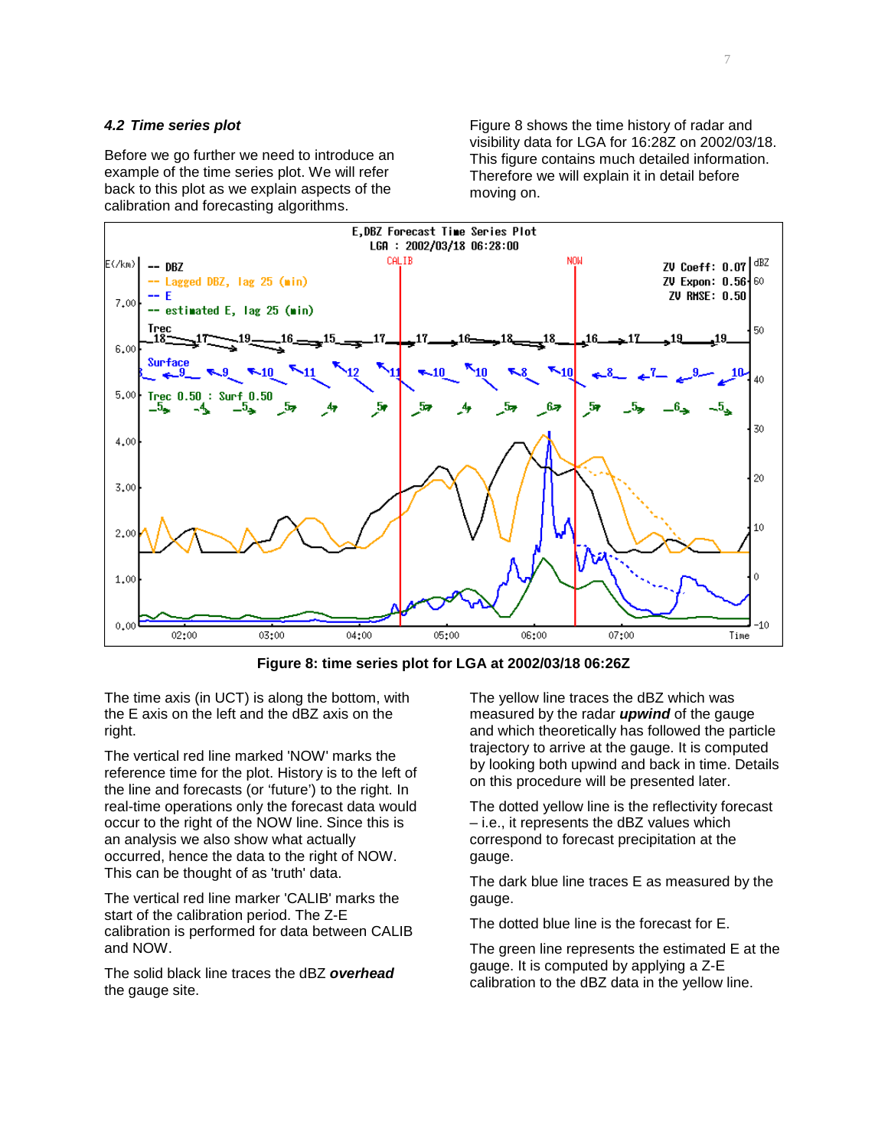# **4.2 Time series plot**

Before we go further we need to introduce an example of the time series plot. We will refer back to this plot as we explain aspects of the calibration and forecasting algorithms.

Figure 8 shows the time history of radar and visibility data for LGA for 16:28Z on 2002/03/18. This figure contains much detailed information. Therefore we will explain it in detail before moving on.



**Figure 8: time series plot for LGA at 2002/03/18 06:26Z** 

The time axis (in UCT) is along the bottom, with the E axis on the left and the dBZ axis on the right.

The vertical red line marked 'NOW' marks the reference time for the plot. History is to the left of the line and forecasts (or 'future') to the right. In real-time operations only the forecast data would occur to the right of the NOW line. Since this is an analysis we also show what actually occurred, hence the data to the right of NOW. This can be thought of as 'truth' data.

The vertical red line marker 'CALIB' marks the start of the calibration period. The Z-E calibration is performed for data between CALIB and NOW.

The solid black line traces the dBZ **overhead** the gauge site.

The yellow line traces the dBZ which was measured by the radar **upwind** of the gauge and which theoretically has followed the particle trajectory to arrive at the gauge. It is computed by looking both upwind and back in time. Details on this procedure will be presented later.

The dotted yellow line is the reflectivity forecast – i.e., it represents the dBZ values which correspond to forecast precipitation at the gauge.

The dark blue line traces E as measured by the gauge.

The dotted blue line is the forecast for E.

The green line represents the estimated E at the gauge. It is computed by applying a Z-E calibration to the dBZ data in the yellow line.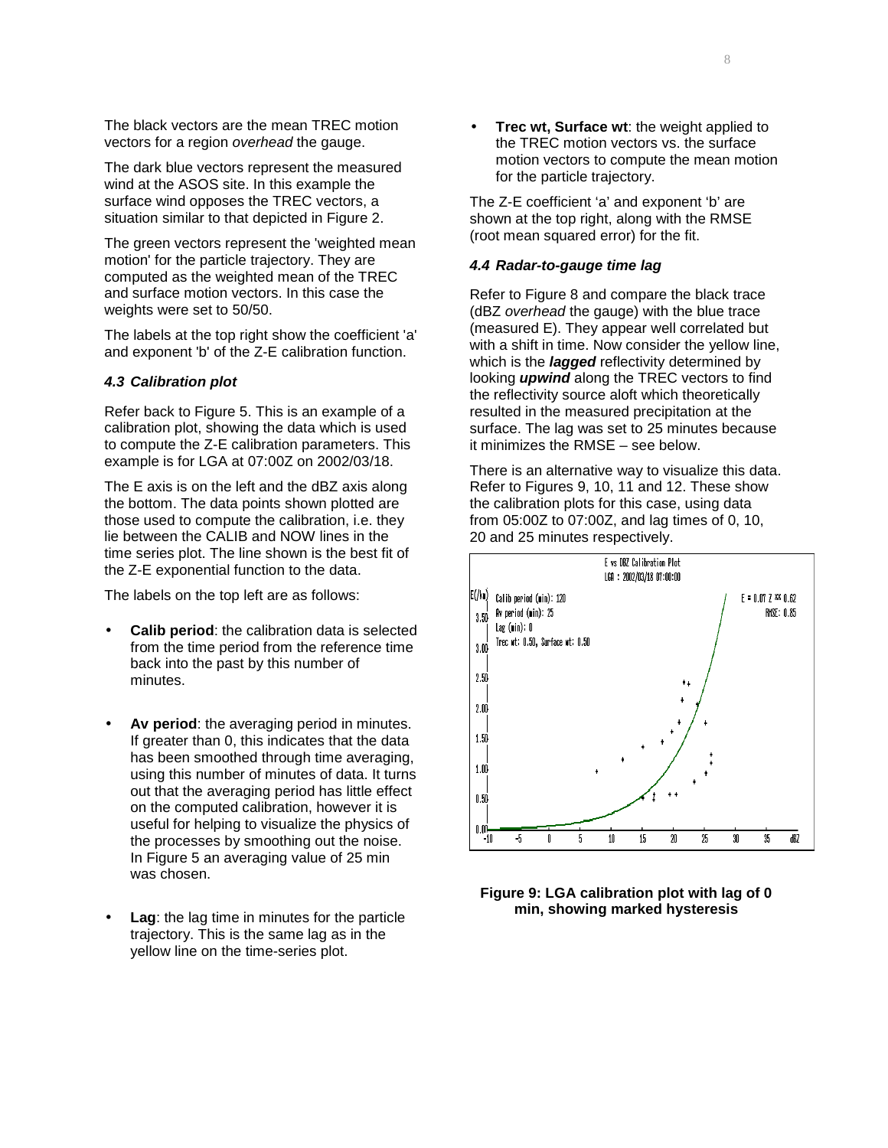The black vectors are the mean TREC motion vectors for a region overhead the gauge.

The dark blue vectors represent the measured wind at the ASOS site. In this example the surface wind opposes the TREC vectors, a situation similar to that depicted in Figure 2.

The green vectors represent the 'weighted mean motion' for the particle trajectory. They are computed as the weighted mean of the TREC and surface motion vectors. In this case the weights were set to 50/50.

The labels at the top right show the coefficient 'a' and exponent 'b' of the Z-E calibration function.

#### **4.3 Calibration plot**

Refer back to Figure 5. This is an example of a calibration plot, showing the data which is used to compute the Z-E calibration parameters. This example is for LGA at 07:00Z on 2002/03/18.

The E axis is on the left and the dBZ axis along the bottom. The data points shown plotted are those used to compute the calibration, i.e. they lie between the CALIB and NOW lines in the time series plot. The line shown is the best fit of the Z-E exponential function to the data.

The labels on the top left are as follows:

- **Calib period:** the calibration data is selected from the time period from the reference time back into the past by this number of minutes.
- Av period: the averaging period in minutes. If greater than 0, this indicates that the data has been smoothed through time averaging, using this number of minutes of data. It turns out that the averaging period has little effect on the computed calibration, however it is useful for helping to visualize the physics of the processes by smoothing out the noise. In Figure 5 an averaging value of 25 min was chosen.
- **Lag**: the lag time in minutes for the particle trajectory. This is the same lag as in the yellow line on the time-series plot.

• **Trec wt, Surface wt**: the weight applied to the TREC motion vectors vs. the surface motion vectors to compute the mean motion for the particle trajectory.

The Z-E coefficient 'a' and exponent 'b' are shown at the top right, along with the RMSE (root mean squared error) for the fit.

## **4.4 Radar-to-gauge time lag**

Refer to Figure 8 and compare the black trace (dBZ overhead the gauge) with the blue trace (measured E). They appear well correlated but with a shift in time. Now consider the yellow line, which is the **lagged** reflectivity determined by looking **upwind** along the TREC vectors to find the reflectivity source aloft which theoretically resulted in the measured precipitation at the surface. The lag was set to 25 minutes because it minimizes the RMSE – see below.

There is an alternative way to visualize this data. Refer to Figures 9, 10, 11 and 12. These show the calibration plots for this case, using data from 05:00Z to 07:00Z, and lag times of 0, 10, 20 and 25 minutes respectively.



**Figure 9: LGA calibration plot with lag of 0 min, showing marked hysteresis**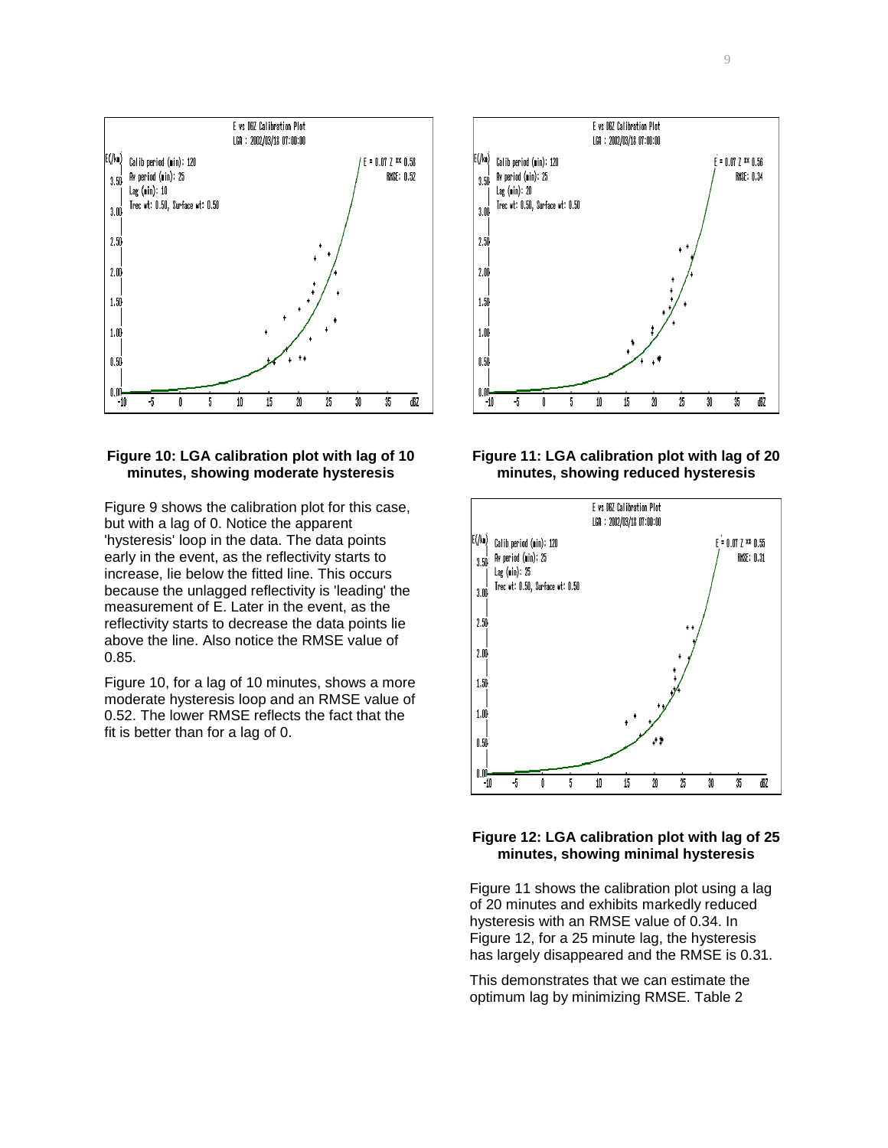

# **Figure 10: LGA calibration plot with lag of 10 minutes, showing moderate hysteresis**

Figure 9 shows the calibration plot for this case, but with a lag of 0. Notice the apparent 'hysteresis' loop in the data. The data points early in the event, as the reflectivity starts to increase, lie below the fitted line. This occurs because the unlagged reflectivity is 'leading' the measurement of E. Later in the event, as the reflectivity starts to decrease the data points lie above the line. Also notice the RMSE value of 0.85.

Figure 10, for a lag of 10 minutes, shows a more moderate hysteresis loop and an RMSE value of 0.52. The lower RMSE reflects the fact that the fit is better than for a lag of 0.







## **Figure 12: LGA calibration plot with lag of 25 minutes, showing minimal hysteresis**

Figure 11 shows the calibration plot using a lag of 20 minutes and exhibits markedly reduced hysteresis with an RMSE value of 0.34. In Figure 12, for a 25 minute lag, the hysteresis has largely disappeared and the RMSE is 0.31.

This demonstrates that we can estimate the optimum lag by minimizing RMSE. Table 2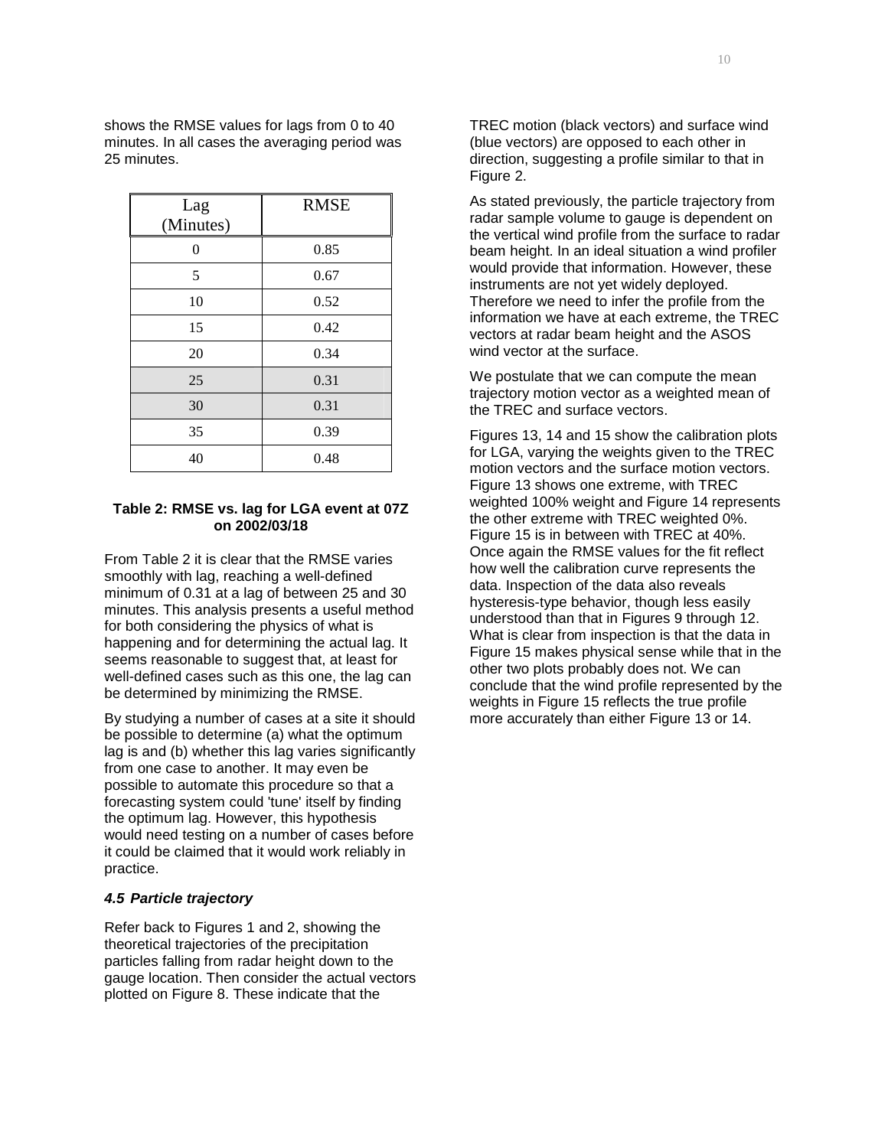shows the RMSE values for lags from 0 to 40 minutes. In all cases the averaging period was 25 minutes.

| Lag<br>(Minutes) | <b>RMSE</b> |  |
|------------------|-------------|--|
| 0                | 0.85        |  |
| 5                | 0.67        |  |
| 10               | 0.52        |  |
| 15               | 0.42        |  |
| 20               | 0.34        |  |
| 25               | 0.31        |  |
| 30               | 0.31        |  |
| 35               | 0.39        |  |
| 40               | 0.48        |  |

# **Table 2: RMSE vs. lag for LGA event at 07Z on 2002/03/18**

From Table 2 it is clear that the RMSE varies smoothly with lag, reaching a well-defined minimum of 0.31 at a lag of between 25 and 30 minutes. This analysis presents a useful method for both considering the physics of what is happening and for determining the actual lag. It seems reasonable to suggest that, at least for well-defined cases such as this one, the lag can be determined by minimizing the RMSE.

By studying a number of cases at a site it should be possible to determine (a) what the optimum lag is and (b) whether this lag varies significantly from one case to another. It may even be possible to automate this procedure so that a forecasting system could 'tune' itself by finding the optimum lag. However, this hypothesis would need testing on a number of cases before it could be claimed that it would work reliably in practice.

### **4.5 Particle trajectory**

Refer back to Figures 1 and 2, showing the theoretical trajectories of the precipitation particles falling from radar height down to the gauge location. Then consider the actual vectors plotted on Figure 8. These indicate that the

TREC motion (black vectors) and surface wind (blue vectors) are opposed to each other in direction, suggesting a profile similar to that in Figure 2.

As stated previously, the particle trajectory from radar sample volume to gauge is dependent on the vertical wind profile from the surface to radar beam height. In an ideal situation a wind profiler would provide that information. However, these instruments are not yet widely deployed. Therefore we need to infer the profile from the information we have at each extreme, the TREC vectors at radar beam height and the ASOS wind vector at the surface.

We postulate that we can compute the mean trajectory motion vector as a weighted mean of the TREC and surface vectors.

Figures 13, 14 and 15 show the calibration plots for LGA, varying the weights given to the TREC motion vectors and the surface motion vectors. Figure 13 shows one extreme, with TREC weighted 100% weight and Figure 14 represents the other extreme with TREC weighted 0%. Figure 15 is in between with TREC at 40%. Once again the RMSE values for the fit reflect how well the calibration curve represents the data. Inspection of the data also reveals hysteresis-type behavior, though less easily understood than that in Figures 9 through 12. What is clear from inspection is that the data in Figure 15 makes physical sense while that in the other two plots probably does not. We can conclude that the wind profile represented by the weights in Figure 15 reflects the true profile more accurately than either Figure 13 or 14.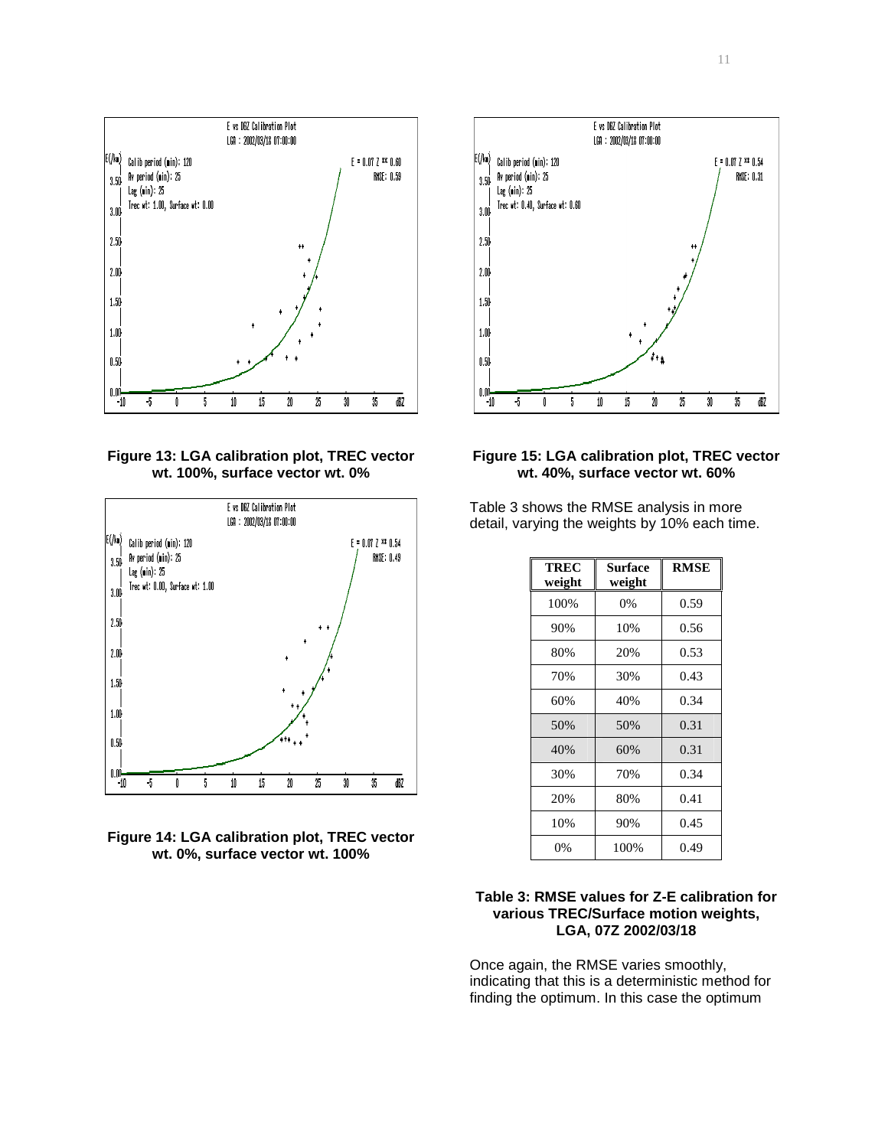

**Figure 13: LGA calibration plot, TREC vector wt. 100%, surface vector wt. 0%** 







**Figure 15: LGA calibration plot, TREC vector wt. 40%, surface vector wt. 60%** 

Table 3 shows the RMSE analysis in more detail, varying the weights by 10% each time.

| TREC<br>weight | Surface<br>weight | <b>RMSE</b> |
|----------------|-------------------|-------------|
| 100%           | $0\%$             | 0.59        |
| 90%            | 10%               | 0.56        |
| 80%            | 20%               | 0.53        |
| 70%            | 30%               | 0.43        |
| 60%            | 40%               | 0.34        |
| 50%            | 50%               | 0.31        |
| 40%            | 60%               | 0.31        |
| 30%            | 70%               | 0.34        |
| 20%            | 80%               | 0.41        |
| 10%            | 90%               | 0.45        |
| 0%             | 100%              | 0.49        |

# **Table 3: RMSE values for Z-E calibration for various TREC/Surface motion weights, LGA, 07Z 2002/03/18**

Once again, the RMSE varies smoothly, indicating that this is a deterministic method for finding the optimum. In this case the optimum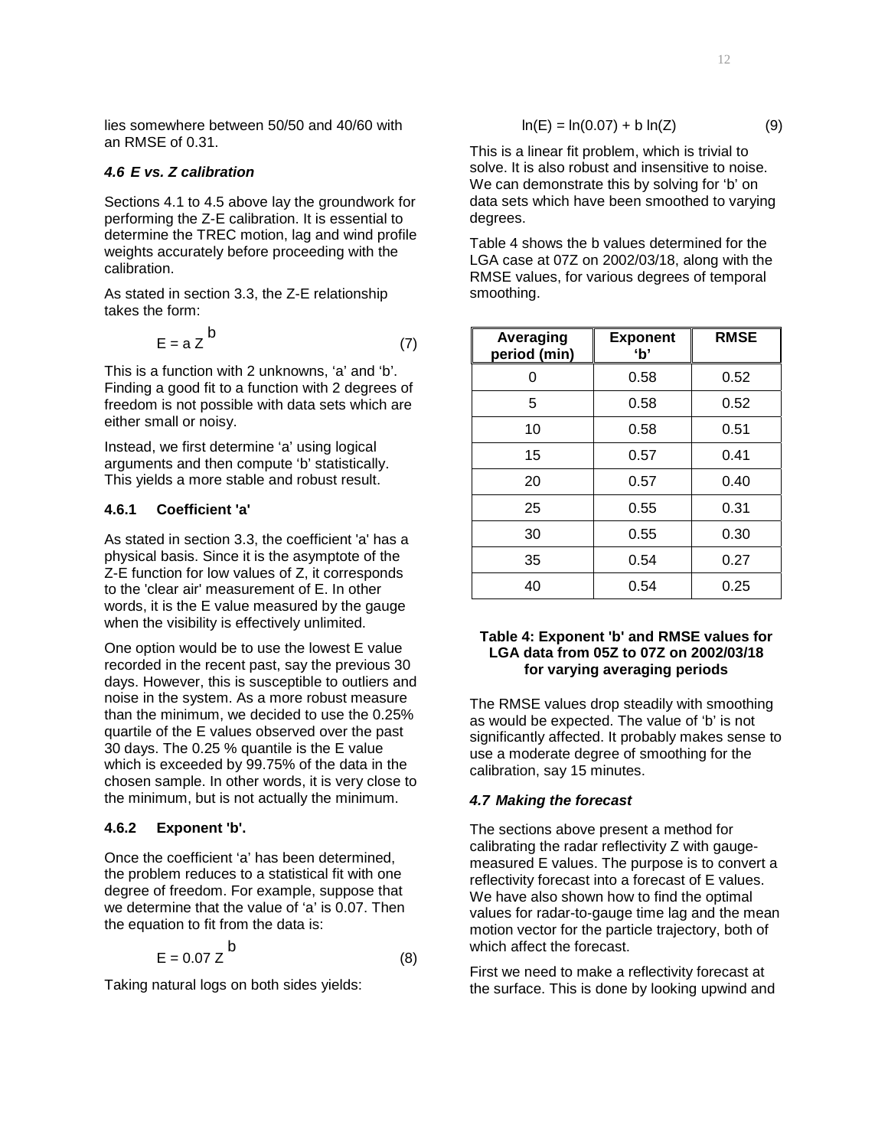lies somewhere between 50/50 and 40/60 with an RMSE of 0.31.

#### **4.6 E vs. Z calibration**

Sections 4.1 to 4.5 above lay the groundwork for performing the Z-E calibration. It is essential to determine the TREC motion, lag and wind profile weights accurately before proceeding with the calibration.

As stated in section 3.3, the Z-E relationship takes the form:

$$
E = a Z^{b}
$$
 (7)

This is a function with 2 unknowns, 'a' and 'b'. Finding a good fit to a function with 2 degrees of freedom is not possible with data sets which are either small or noisy.

Instead, we first determine 'a' using logical arguments and then compute 'b' statistically. This yields a more stable and robust result.

# **4.6.1 Coefficient 'a'**

As stated in section 3.3, the coefficient 'a' has a physical basis. Since it is the asymptote of the Z-E function for low values of Z, it corresponds to the 'clear air' measurement of E. In other words, it is the E value measured by the gauge when the visibility is effectively unlimited.

One option would be to use the lowest E value recorded in the recent past, say the previous 30 days. However, this is susceptible to outliers and noise in the system. As a more robust measure than the minimum, we decided to use the 0.25% quartile of the E values observed over the past 30 days. The 0.25 % quantile is the E value which is exceeded by 99.75% of the data in the chosen sample. In other words, it is very close to the minimum, but is not actually the minimum.

# **4.6.2 Exponent 'b'.**

Once the coefficient 'a' has been determined, the problem reduces to a statistical fit with one degree of freedom. For example, suppose that we determine that the value of 'a' is 0.07. Then the equation to fit from the data is:

$$
E = 0.07 Z^D \tag{8}
$$

Taking natural logs on both sides yields:

b

$$
\ln(E) = \ln(0.07) + b \ln(Z) \tag{9}
$$

This is a linear fit problem, which is trivial to solve. It is also robust and insensitive to noise. We can demonstrate this by solving for 'b' on data sets which have been smoothed to varying degrees.

Table 4 shows the b values determined for the LGA case at 07Z on 2002/03/18, along with the RMSE values, for various degrees of temporal smoothing.

| Averaging<br>period (min) | <b>Exponent</b><br>ʻb' | <b>RMSE</b> |
|---------------------------|------------------------|-------------|
| 0                         | 0.58                   | 0.52        |
| 5                         | 0.58                   | 0.52        |
| 10                        | 0.58                   | 0.51        |
| 15                        | 0.57                   | 0.41        |
| 20                        | 0.57                   | 0.40        |
| 25                        | 0.55                   | 0.31        |
| 30                        | 0.55                   | 0.30        |
| 35                        | 0.54                   | 0.27        |
| 40                        | 0.54                   | 0.25        |

# **Table 4: Exponent 'b' and RMSE values for LGA data from 05Z to 07Z on 2002/03/18 for varying averaging periods**

The RMSE values drop steadily with smoothing as would be expected. The value of 'b' is not significantly affected. It probably makes sense to use a moderate degree of smoothing for the calibration, say 15 minutes.

# **4.7 Making the forecast**

The sections above present a method for calibrating the radar reflectivity Z with gaugemeasured E values. The purpose is to convert a reflectivity forecast into a forecast of E values. We have also shown how to find the optimal values for radar-to-gauge time lag and the mean motion vector for the particle trajectory, both of which affect the forecast.

First we need to make a reflectivity forecast at the surface. This is done by looking upwind and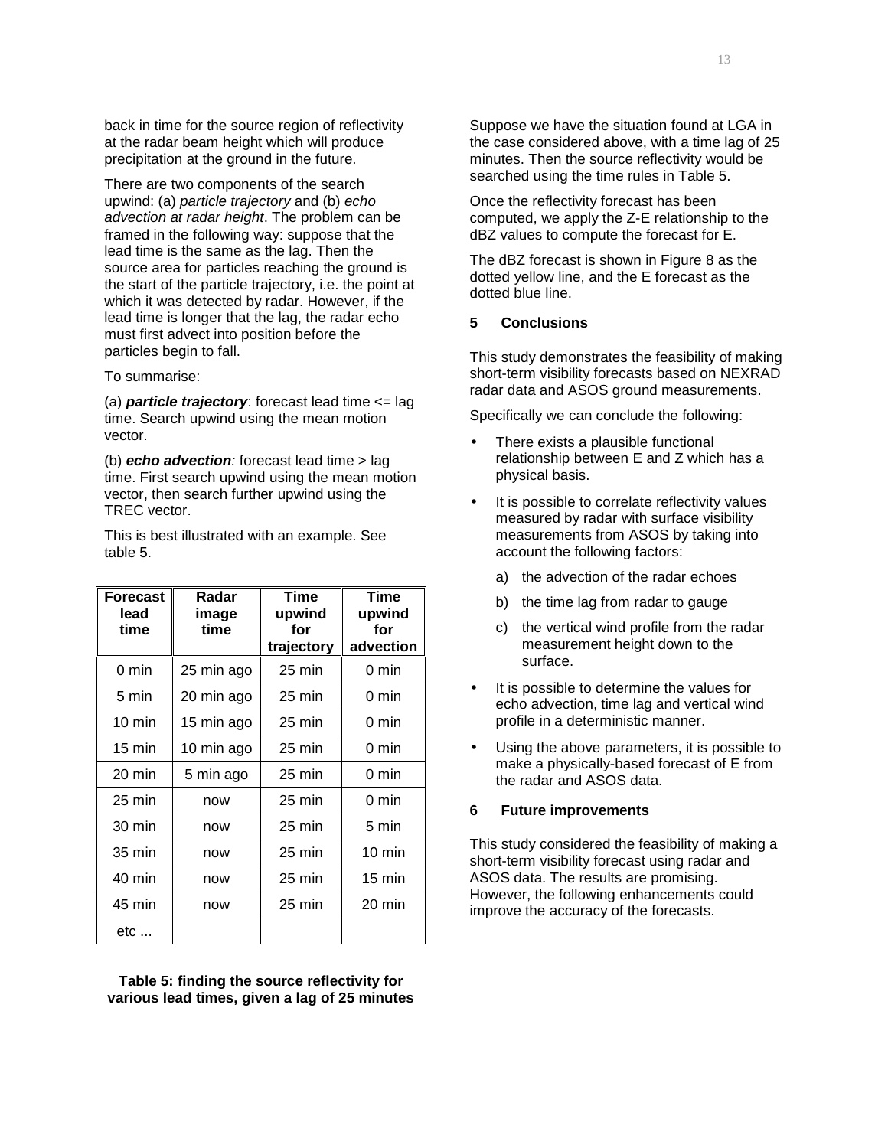back in time for the source region of reflectivity at the radar beam height which will produce precipitation at the ground in the future.

There are two components of the search upwind: (a) particle trajectory and (b) echo advection at radar height. The problem can be framed in the following way: suppose that the lead time is the same as the lag. Then the source area for particles reaching the ground is the start of the particle trajectory, i.e. the point at which it was detected by radar. However, if the lead time is longer that the lag, the radar echo must first advect into position before the particles begin to fall.

To summarise:

(a) **particle trajectory**: forecast lead time <= lag time. Search upwind using the mean motion vector.

(b) **echo advection**: forecast lead time > lag time. First search upwind using the mean motion vector, then search further upwind using the TREC vector.

This is best illustrated with an example. See table 5.

| <b>Forecast</b><br>lead<br>time | Radar<br>image<br>time | Time<br>upwind<br>for<br>trajectory | <b>Time</b><br>upwind<br>for<br>advection |
|---------------------------------|------------------------|-------------------------------------|-------------------------------------------|
| 0 min                           | 25 min ago             | $25 \text{ min}$                    | 0 min                                     |
| 5 min                           | 20 min ago             | $25 \text{ min}$                    | 0 min                                     |
| $10 \text{ min}$                | 15 min ago             | $25 \text{ min}$                    | 0 min                                     |
| $15 \text{ min}$                | 10 min ago             | $25 \text{ min}$                    | 0 min                                     |
| 20 min                          | 5 min ago              | $25 \text{ min}$                    | 0 min                                     |
| $25 \text{ min}$                | now                    | $25 \text{ min}$                    | 0 min                                     |
| 30 min                          | now                    | $25 \text{ min}$                    | 5 min                                     |
| 35 min                          | now                    | $25 \text{ min}$                    | $10 \text{ min}$                          |
| 40 min                          | now                    | $25 \text{ min}$                    | $15 \text{ min}$                          |
| 45 min                          | now                    | $25 \text{ min}$                    | 20 min                                    |
| etc                             |                        |                                     |                                           |

**Table 5: finding the source reflectivity for various lead times, given a lag of 25 minutes** 

Suppose we have the situation found at LGA in the case considered above, with a time lag of 25 minutes. Then the source reflectivity would be searched using the time rules in Table 5.

Once the reflectivity forecast has been computed, we apply the Z-E relationship to the dBZ values to compute the forecast for E.

The dBZ forecast is shown in Figure 8 as the dotted yellow line, and the E forecast as the dotted blue line.

# **5 Conclusions**

This study demonstrates the feasibility of making short-term visibility forecasts based on NEXRAD radar data and ASOS ground measurements.

Specifically we can conclude the following:

- There exists a plausible functional relationship between E and Z which has a physical basis.
- It is possible to correlate reflectivity values measured by radar with surface visibility measurements from ASOS by taking into account the following factors:
	- a) the advection of the radar echoes
	- b) the time lag from radar to gauge
	- c) the vertical wind profile from the radar measurement height down to the surface.
- It is possible to determine the values for echo advection, time lag and vertical wind profile in a deterministic manner.
- Using the above parameters, it is possible to make a physically-based forecast of E from the radar and ASOS data.

#### **6 Future improvements**

This study considered the feasibility of making a short-term visibility forecast using radar and ASOS data. The results are promising. However, the following enhancements could improve the accuracy of the forecasts.